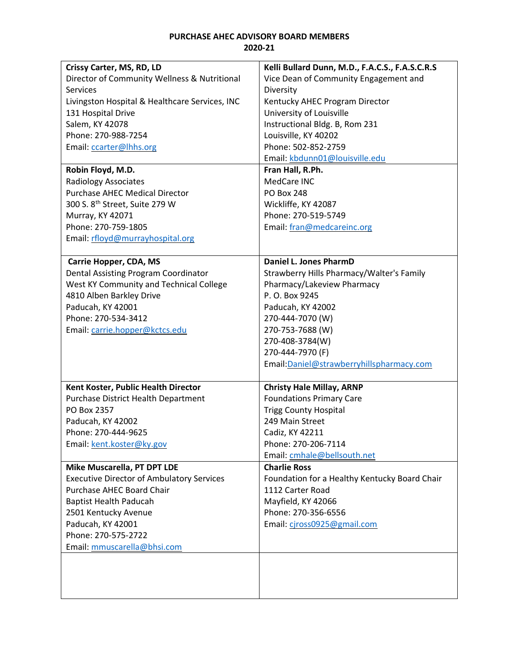## **PURCHASE AHEC ADVISORY BOARD MEMBERS 2020-21**

| Crissy Carter, MS, RD, LD                        | Kelli Bullard Dunn, M.D., F.A.C.S., F.A.S.C.R.S |
|--------------------------------------------------|-------------------------------------------------|
| Director of Community Wellness & Nutritional     | Vice Dean of Community Engagement and           |
| Services                                         | Diversity                                       |
| Livingston Hospital & Healthcare Services, INC   | Kentucky AHEC Program Director                  |
| 131 Hospital Drive                               | University of Louisville                        |
| Salem, KY 42078                                  | Instructional Bldg. B, Rom 231                  |
| Phone: 270-988-7254                              | Louisville, KY 40202                            |
| Email: ccarter@lhhs.org                          | Phone: 502-852-2759                             |
|                                                  | Email: kbdunn01@louisville.edu                  |
| Robin Floyd, M.D.                                | Fran Hall, R.Ph.                                |
| <b>Radiology Associates</b>                      | MedCare INC                                     |
| <b>Purchase AHEC Medical Director</b>            | <b>PO Box 248</b>                               |
| 300 S. 8 <sup>th</sup> Street, Suite 279 W       | Wickliffe, KY 42087                             |
| Murray, KY 42071                                 | Phone: 270-519-5749                             |
| Phone: 270-759-1805                              | Email: fran@medcareinc.org                      |
| Email: rfloyd@murrayhospital.org                 |                                                 |
|                                                  |                                                 |
| <b>Carrie Hopper, CDA, MS</b>                    | <b>Daniel L. Jones PharmD</b>                   |
| Dental Assisting Program Coordinator             | Strawberry Hills Pharmacy/Walter's Family       |
| West KY Community and Technical College          | Pharmacy/Lakeview Pharmacy                      |
| 4810 Alben Barkley Drive                         | P. O. Box 9245                                  |
| Paducah, KY 42001                                | Paducah, KY 42002                               |
| Phone: 270-534-3412                              | 270-444-7070 (W)                                |
| Email: carrie.hopper@kctcs.edu                   | 270-753-7688 (W)                                |
|                                                  | 270-408-3784(W)                                 |
|                                                  | 270-444-7970 (F)                                |
|                                                  | Email: Daniel@strawberryhillspharmacy.com       |
|                                                  |                                                 |
| Kent Koster, Public Health Director              | <b>Christy Hale Millay, ARNP</b>                |
| Purchase District Health Department              | <b>Foundations Primary Care</b>                 |
| PO Box 2357                                      | <b>Trigg County Hospital</b>                    |
| Paducah, KY 42002                                | 249 Main Street                                 |
| Phone: 270-444-9625                              | Cadiz, KY 42211                                 |
| Email: kent.koster@ky.gov                        | Phone: 270-206-7114                             |
|                                                  | Email: cmhale@bellsouth.net                     |
| Mike Muscarella, PT DPT LDE                      | <b>Charlie Ross</b>                             |
| <b>Executive Director of Ambulatory Services</b> | Foundation for a Healthy Kentucky Board Chair   |
| Purchase AHEC Board Chair                        | 1112 Carter Road                                |
| <b>Baptist Health Paducah</b>                    | Mayfield, KY 42066                              |
| 2501 Kentucky Avenue                             | Phone: 270-356-6556                             |
| Paducah, KY 42001                                | Email: cjross0925@gmail.com                     |
| Phone: 270-575-2722                              |                                                 |
| Email: mmuscarella@bhsi.com                      |                                                 |
|                                                  |                                                 |
|                                                  |                                                 |
|                                                  |                                                 |
|                                                  |                                                 |
|                                                  |                                                 |